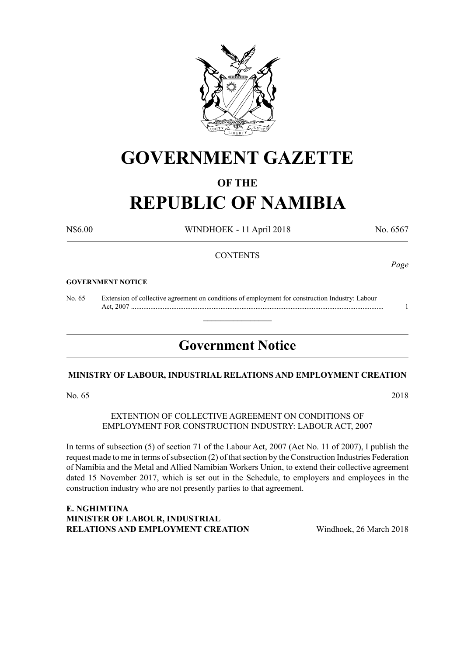

# **GOVERNMENT GAZETTE**

#### **OF THE**

# **REPUBLIC OF NAMIBIA**

N\$6.00 WINDHOEK - 11 April 2018 No. 6567

#### **CONTENTS**

#### **GOVERNMENT NOTICE**

No. 65 Extension of collective agreement on conditions of employment for construction Industry: Labour Act, 2007 ................................................................................................................................................ 1

# **Government Notice**

 $\overline{\phantom{a}}$  , where  $\overline{\phantom{a}}$ 

#### **MINISTRY OF LABOUR, INDUSTRIAL RELATIONS AND EMPLOYMENT CREATION**

No. 65 2018

EXTENTION OF COLLECTIVE AGREEMENT ON CONDITIONS OF EMPLOYMENT FOR CONSTRUCTION INDUSTRY: LABOUR ACT, 2007

In terms of subsection (5) of section 71 of the Labour Act, 2007 (Act No. 11 of 2007), I publish the request made to me in terms of subsection (2) of that section by the Construction Industries Federation of Namibia and the Metal and Allied Namibian Workers Union, to extend their collective agreement dated 15 November 2017, which is set out in the Schedule, to employers and employees in the construction industry who are not presently parties to that agreement.

**e. nghimtina MINISTER OF LABOUR, INDUSTRIAL RELATIONS AND EMPLOYMENT CREATION** Windhoek, 26 March 2018

*Page*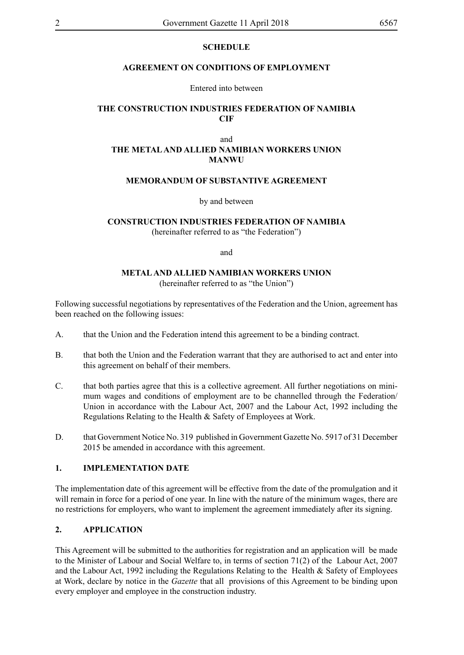#### **SCHEDULE**

#### **AGREEMENT ON CONDITIONS OF EMPLOYMENT**

#### Entered into between

### **THE CONSTRUCTION INDUSTRIES FEDERATION OF NAMIBIA CIF**

#### and **THE METAL AND ALLIED NAMIBIAN WORKERS UNION MANWU**

# **MEMORANDUM OF SUBSTANTIVE AGREEMENT**

by and between

# **CONSTRUCTION INDUSTRIES FEDERATION OF NAMIBIA**

(hereinafter referred to as "the Federation")

and

#### **METAL AND ALLIED NAMIBIAN WORKERS UNION**

(hereinafter referred to as "the Union")

Following successful negotiations by representatives of the Federation and the Union, agreement has been reached on the following issues:

- A. that the Union and the Federation intend this agreement to be a binding contract.
- B. that both the Union and the Federation warrant that they are authorised to act and enter into this agreement on behalf of their members.
- C. that both parties agree that this is a collective agreement. All further negotiations on minimum wages and conditions of employment are to be channelled through the Federation/ Union in accordance with the Labour Act, 2007 and the Labour Act, 1992 including the Regulations Relating to the Health & Safety of Employees at Work.
- D. that Government Notice No. 319 published in Government Gazette No. 5917 of 31 December 2015 be amended in accordance with this agreement.

#### **1. IMPLEMENTATION DATE**

The implementation date of this agreement will be effective from the date of the promulgation and it will remain in force for a period of one year. In line with the nature of the minimum wages, there are no restrictions for employers, who want to implement the agreement immediately after its signing.

### **2. APPLICATION**

This Agreement will be submitted to the authorities for registration and an application will be made to the Minister of Labour and Social Welfare to, in terms of section 71(2) of the Labour Act, 2007 and the Labour Act, 1992 including the Regulations Relating to the Health & Safety of Employees at Work, declare by notice in the *Gazette* that all provisions of this Agreement to be binding upon every employer and employee in the construction industry.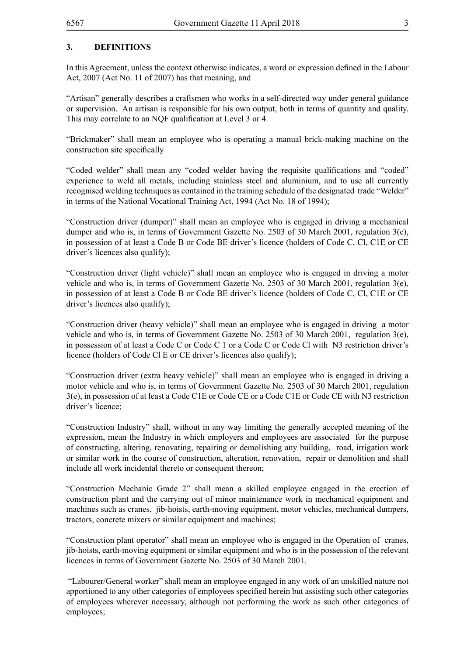# **3. DEFINITIONS**

In this Agreement, unless the context otherwise indicates, a word or expression defined in the Labour Act, 2007 (Act No. 11 of 2007) has that meaning, and

"Artisan" generally describes a craftsmen who works in a self-directed way under general guidance or supervision. An artisan is responsible for his own output, both in terms of quantity and quality. This may correlate to an NQF qualification at Level 3 or 4.

"Brickmaker" shall mean an employee who is operating a manual brick-making machine on the construction site specifically

"Coded welder" shall mean any "coded welder having the requisite qualifications and "coded" experience to weld all metals, including stainless steel and aluminium, and to use all currently recognised welding techniques as contained in the training schedule of the designated trade "Welder" in terms of the National Vocational Training Act, 1994 (Act No. 18 of 1994);

"Construction driver (dumper)" shall mean an employee who is engaged in driving a mechanical dumper and who is, in terms of Government Gazette No. 2503 of 30 March 2001, regulation 3(e), in possession of at least a Code B or Code BE driver's licence (holders of Code C, Cl, C1E or CE driver's licences also qualify);

"Construction driver (light vehicle)" shall mean an employee who is engaged in driving a motor vehicle and who is, in terms of Government Gazette No. 2503 of 30 March 2001, regulation 3(e), in possession of at least a Code B or Code BE driver's licence (holders of Code C, Cl, C1E or CE driver's licences also qualify);

"Construction driver (heavy vehicle)" shall mean an employee who is engaged in driving a motor vehicle and who is, in terms of Government Gazette No. 2503 of 30 March 2001, regulation 3(e), in possession of at least a Code C or Code C 1 or a Code C or Code Cl with N3 restriction driver's licence (holders of Code Cl E or CE driver's licences also qualify);

"Construction driver (extra heavy vehicle)" shall mean an employee who is engaged in driving a motor vehicle and who is, in terms of Government Gazette No. 2503 of 30 March 2001, regulation 3(e), in possession of at least a Code C1E or Code CE or a Code C1E or Code CE with N3 restriction driver's licence;

"Construction Industry" shall, without in any way limiting the generally accepted meaning of the expression, mean the Industry in which employers and employees are associated for the purpose of constructing, altering, renovating, repairing or demolishing any building, road, irrigation work or similar work in the course of construction, alteration, renovation, repair or demolition and shall include all work incidental thereto or consequent thereon;

"Construction Mechanic Grade 2" shall mean a skilled employee engaged in the erection of construction plant and the carrying out of minor maintenance work in mechanical equipment and machines such as cranes, jib-hoists, earth-moving equipment, motor vehicles, mechanical dumpers, tractors, concrete mixers or similar equipment and machines;

"Construction plant operator" shall mean an employee who is engaged in the Operation of cranes, jib-hoists, earth-moving equipment or similar equipment and who is in the possession of the relevant licences in terms of Government Gazette No. 2503 of 30 March 2001.

 "Labourer/General worker" shall mean an employee engaged in any work of an unskilled nature not apportioned to any other categories of employees specified herein but assisting such other categories of employees wherever necessary, although not performing the work as such other categories of employees;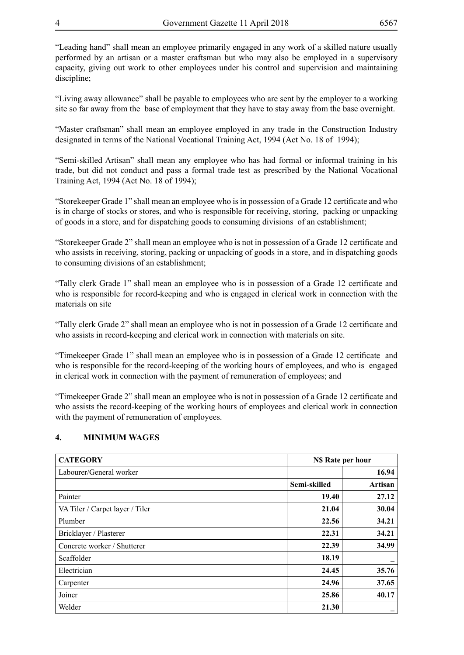"Leading hand" shall mean an employee primarily engaged in any work of a skilled nature usually performed by an artisan or a master craftsman but who may also be employed in a supervisory capacity, giving out work to other employees under his control and supervision and maintaining discipline;

"Living away allowance" shall be payable to employees who are sent by the employer to a working site so far away from the base of employment that they have to stay away from the base overnight.

"Master craftsman" shall mean an employee employed in any trade in the Construction Industry designated in terms of the National Vocational Training Act, 1994 (Act No. 18 of 1994);

"Semi-skilled Artisan" shall mean any employee who has had formal or informal training in his trade, but did not conduct and pass a formal trade test as prescribed by the National Vocational Training Act, 1994 (Act No. 18 of 1994);

"Storekeeper Grade 1" shall mean an employee who is in possession of a Grade 12 certificate and who is in charge of stocks or stores, and who is responsible for receiving, storing, packing or unpacking of goods in a store, and for dispatching goods to consuming divisions of an establishment;

"Storekeeper Grade 2" shall mean an employee who is not in possession of a Grade 12 certificate and who assists in receiving, storing, packing or unpacking of goods in a store, and in dispatching goods to consuming divisions of an establishment;

"Tally clerk Grade 1" shall mean an employee who is in possession of a Grade 12 certificate and who is responsible for record-keeping and who is engaged in clerical work in connection with the materials on site

"Tally clerk Grade 2" shall mean an employee who is not in possession of a Grade 12 certificate and who assists in record-keeping and clerical work in connection with materials on site.

"Timekeeper Grade 1" shall mean an employee who is in possession of a Grade 12 certificate and who is responsible for the record-keeping of the working hours of employees, and who is engaged in clerical work in connection with the payment of remuneration of employees; and

"Timekeeper Grade 2" shall mean an employee who is not in possession of a Grade 12 certificate and who assists the record-keeping of the working hours of employees and clerical work in connection with the payment of remuneration of employees.

#### **4. MINIMUM WAGES**

| <b>CATEGORY</b>                 |              | <b>NS</b> Rate per hour |  |
|---------------------------------|--------------|-------------------------|--|
| Labourer/General worker         |              | 16.94                   |  |
|                                 | Semi-skilled | Artisan                 |  |
| Painter                         | 19.40        | 27.12                   |  |
| VA Tiler / Carpet layer / Tiler | 21.04        | 30.04                   |  |
| Plumber                         | 22.56        | 34.21                   |  |
| Bricklayer / Plasterer          | 22.31        | 34.21                   |  |
| Concrete worker / Shutterer     | 22.39        | 34.99                   |  |
| Scaffolder                      | 18.19        |                         |  |
| Electrician                     | 24.45        | 35.76                   |  |
| Carpenter                       | 24.96        | 37.65                   |  |
| Joiner                          | 25.86        | 40.17                   |  |
| Welder                          | 21.30        | -                       |  |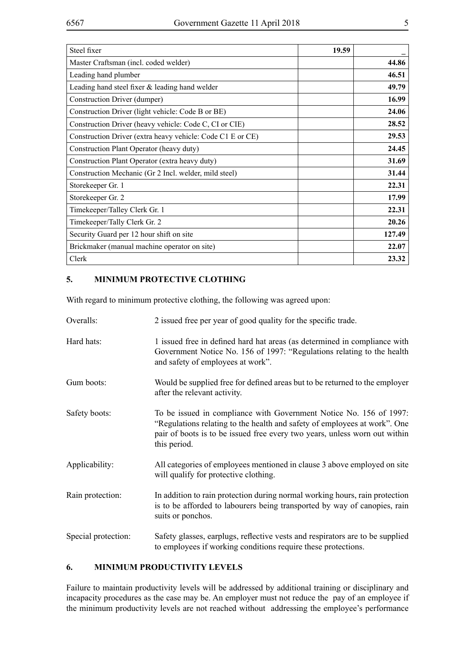| Steel fixer                                                | 19.59 |        |
|------------------------------------------------------------|-------|--------|
| Master Craftsman (incl. coded welder)                      |       | 44.86  |
| Leading hand plumber                                       |       | 46.51  |
| Leading hand steel fixer $\&$ leading hand welder          |       | 49.79  |
| Construction Driver (dumper)                               |       | 16.99  |
| Construction Driver (light vehicle: Code B or BE)          |       | 24.06  |
| Construction Driver (heavy vehicle: Code C, CI or CIE)     |       | 28.52  |
| Construction Driver (extra heavy vehicle: Code C1 E or CE) |       | 29.53  |
| Construction Plant Operator (heavy duty)                   |       | 24.45  |
| Construction Plant Operator (extra heavy duty)             |       | 31.69  |
| Construction Mechanic (Gr 2 Incl. welder, mild steel)      |       | 31.44  |
| Storekeeper Gr. 1                                          |       | 22.31  |
| Storekeeper Gr. 2                                          |       | 17.99  |
| Timekeeper/Talley Clerk Gr. 1                              |       | 22.31  |
| Timekeeper/Tally Clerk Gr. 2                               |       | 20.26  |
| Security Guard per 12 hour shift on site                   |       | 127.49 |
| Brickmaker (manual machine operator on site)               |       | 22.07  |
| Clerk                                                      |       | 23.32  |

# **5. MINIMUM PROTECTIVE CLOTHING**

With regard to minimum protective clothing, the following was agreed upon:

| Overalls:           | 2 issued free per year of good quality for the specific trade.                                                                                                                                                                                |
|---------------------|-----------------------------------------------------------------------------------------------------------------------------------------------------------------------------------------------------------------------------------------------|
| Hard hats:          | 1 issued free in defined hard hat areas (as determined in compliance with<br>Government Notice No. 156 of 1997: "Regulations relating to the health<br>and safety of employees at work".                                                      |
| Gum boots:          | Would be supplied free for defined areas but to be returned to the employer<br>after the relevant activity.                                                                                                                                   |
| Safety boots:       | To be issued in compliance with Government Notice No. 156 of 1997:<br>"Regulations relating to the health and safety of employees at work". One<br>pair of boots is to be issued free every two years, unless worn out within<br>this period. |
| Applicability:      | All categories of employees mentioned in clause 3 above employed on site<br>will qualify for protective clothing.                                                                                                                             |
| Rain protection:    | In addition to rain protection during normal working hours, rain protection<br>is to be afforded to labourers being transported by way of canopies, rain<br>suits or ponchos.                                                                 |
| Special protection: | Safety glasses, earplugs, reflective vests and respirators are to be supplied<br>to employees if working conditions require these protections.                                                                                                |

#### **6. MINIMUM PRODUCTIVITY LEVELS**

Failure to maintain productivity levels will be addressed by additional training or disciplinary and incapacity procedures as the case may be. An employer must not reduce the pay of an employee if the minimum productivity levels are not reached without addressing the employee's performance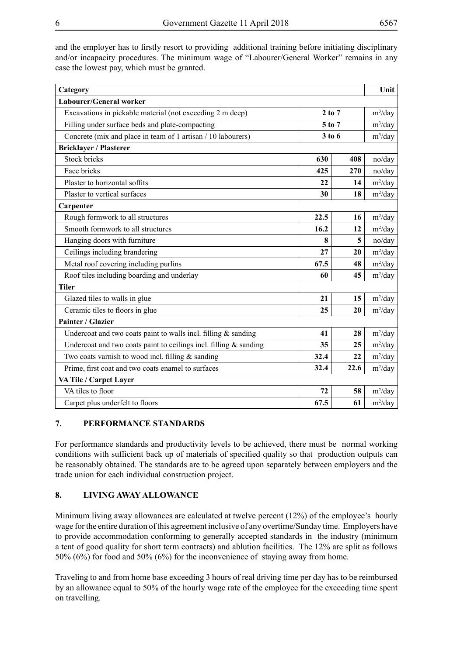and the employer has to firstly resort to providing additional training before initiating disciplinary and/or incapacity procedures. The minimum wage of "Labourer/General Worker" remains in any case the lowest pay, which must be granted.

| Category                                                          |            |      | Unit       |  |  |
|-------------------------------------------------------------------|------------|------|------------|--|--|
| Labourer/General worker                                           |            |      |            |  |  |
| Excavations in pickable material (not exceeding 2 m deep)         | $2$ to $7$ |      | $m^3$ /day |  |  |
| Filling under surface beds and plate-compacting                   | 5 to 7     |      | $m^3$ /day |  |  |
| Concrete (mix and place in team of 1 artisan / 10 labourers)      | 3 to 6     |      | $m^3$ /day |  |  |
| <b>Bricklayer / Plasterer</b>                                     |            |      |            |  |  |
| <b>Stock bricks</b>                                               | 630        | 408  | no/day     |  |  |
| Face bricks                                                       | 425        | 270  | no/day     |  |  |
| Plaster to horizontal soffits                                     | 22         | 14   | $m^2$ /day |  |  |
| Plaster to vertical surfaces                                      | 30         | 18   | $m^2$ /day |  |  |
| Carpenter                                                         |            |      |            |  |  |
| Rough formwork to all structures                                  | 22.5       | 16   | $m^2$ /day |  |  |
| Smooth formwork to all structures                                 | 16.2       | 12   | $m^2$ /day |  |  |
| Hanging doors with furniture                                      | 8          | 5    | no/day     |  |  |
| Ceilings including brandering                                     | 27         | 20   | $m^2$ /day |  |  |
| Metal roof covering including purlins                             | 67.5       | 48   | $m^2$ /day |  |  |
| Roof tiles including boarding and underlay                        | 60         | 45   | $m^2$ /day |  |  |
| <b>Tiler</b>                                                      |            |      |            |  |  |
| Glazed tiles to walls in glue                                     | 21         | 15   | $m^2$ /day |  |  |
| Ceramic tiles to floors in glue                                   | 25         | 20   | $m^2$ /day |  |  |
| Painter / Glazier                                                 |            |      |            |  |  |
| Undercoat and two coats paint to walls incl. filling $&$ sanding  | 41         | 28   | $m^2$ /day |  |  |
| Undercoat and two coats paint to ceilings incl. filling & sanding | 35         | 25   | $m^2$ /day |  |  |
| Two coats varnish to wood incl. filling & sanding                 | 32.4       | 22   | $m^2$ /day |  |  |
| Prime, first coat and two coats enamel to surfaces                | 32.4       | 22.6 | $m^2$ /day |  |  |
| VA Tile / Carpet Layer                                            |            |      |            |  |  |
| VA tiles to floor                                                 | 72         | 58   | $m^2$ /day |  |  |
| Carpet plus underfelt to floors                                   | 67.5       | 61   | $m^2$ /day |  |  |

### **7. PERFORMANCE STANDARDS**

For performance standards and productivity levels to be achieved, there must be normal working conditions with sufficient back up of materials of specified quality so that production outputs can be reasonably obtained. The standards are to be agreed upon separately between employers and the trade union for each individual construction project.

#### **8. LIVING AWAY ALLOWANCE**

Minimum living away allowances are calculated at twelve percent (12%) of the employee's hourly wage for the entire duration of this agreement inclusive of any overtime/Sunday time. Employers have to provide accommodation conforming to generally accepted standards in the industry (minimum a tent of good quality for short term contracts) and ablution facilities. The 12% are split as follows 50% (6%) for food and 50% (6%) for the inconvenience of staying away from home.

Traveling to and from home base exceeding 3 hours of real driving time per day has to be reimbursed by an allowance equal to 50% of the hourly wage rate of the employee for the exceeding time spent on travelling.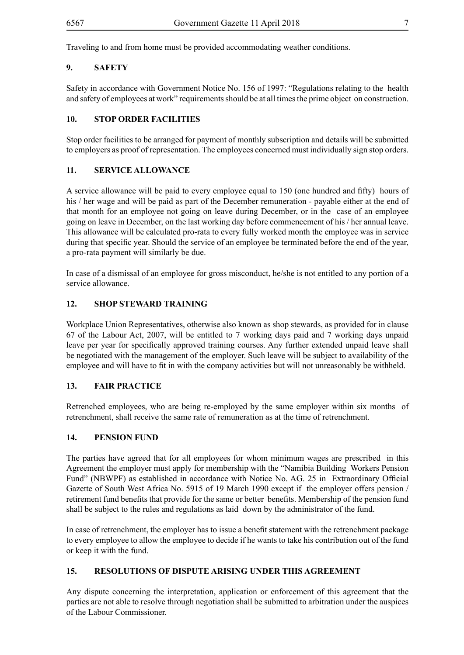Traveling to and from home must be provided accommodating weather conditions.

# **9. SAFETY**

Safety in accordance with Government Notice No. 156 of 1997: "Regulations relating to the health and safety of employees at work" requirements should be at all times the prime object on construction.

# **10. STOP ORDER FACILITIES**

Stop order facilities to be arranged for payment of monthly subscription and details will be submitted to employers as proof of representation. The employees concerned must individually sign stop orders.

# **11. SERVICE ALLOWANCE**

A service allowance will be paid to every employee equal to 150 (one hundred and fifty) hours of his / her wage and will be paid as part of the December remuneration - payable either at the end of that month for an employee not going on leave during December, or in the case of an employee going on leave in December, on the last working day before commencement of his / her annual leave. This allowance will be calculated pro-rata to every fully worked month the employee was in service during that specific year. Should the service of an employee be terminated before the end of the year, a pro-rata payment will similarly be due.

In case of a dismissal of an employee for gross misconduct, he/she is not entitled to any portion of a service allowance.

# **12. SHOP STEWARD TRAINING**

Workplace Union Representatives, otherwise also known as shop stewards, as provided for in clause 67 of the Labour Act, 2007, will be entitled to 7 working days paid and 7 working days unpaid leave per year for specifically approved training courses. Any further extended unpaid leave shall be negotiated with the management of the employer. Such leave will be subject to availability of the employee and will have to fit in with the company activities but will not unreasonably be withheld.

#### **13. FAIR PRACTICE**

Retrenched employees, who are being re-employed by the same employer within six months of retrenchment, shall receive the same rate of remuneration as at the time of retrenchment.

#### **14. PENSION FUND**

The parties have agreed that for all employees for whom minimum wages are prescribed in this Agreement the employer must apply for membership with the "Namibia Building Workers Pension Fund" (NBWPF) as established in accordance with Notice No. AG. 25 in Extraordinary Official Gazette of South West Africa No. 5915 of 19 March 1990 except if the employer offers pension / retirement fund benefits that provide for the same or better benefits. Membership of the pension fund shall be subject to the rules and regulations as laid down by the administrator of the fund.

In case of retrenchment, the employer has to issue a benefit statement with the retrenchment package to every employee to allow the employee to decide if he wants to take his contribution out of the fund or keep it with the fund.

#### **15. RESOLUTIONS OF DISPUTE ARISING UNDER THIS AGREEMENT**

Any dispute concerning the interpretation, application or enforcement of this agreement that the parties are not able to resolve through negotiation shall be submitted to arbitration under the auspices of the Labour Commissioner.